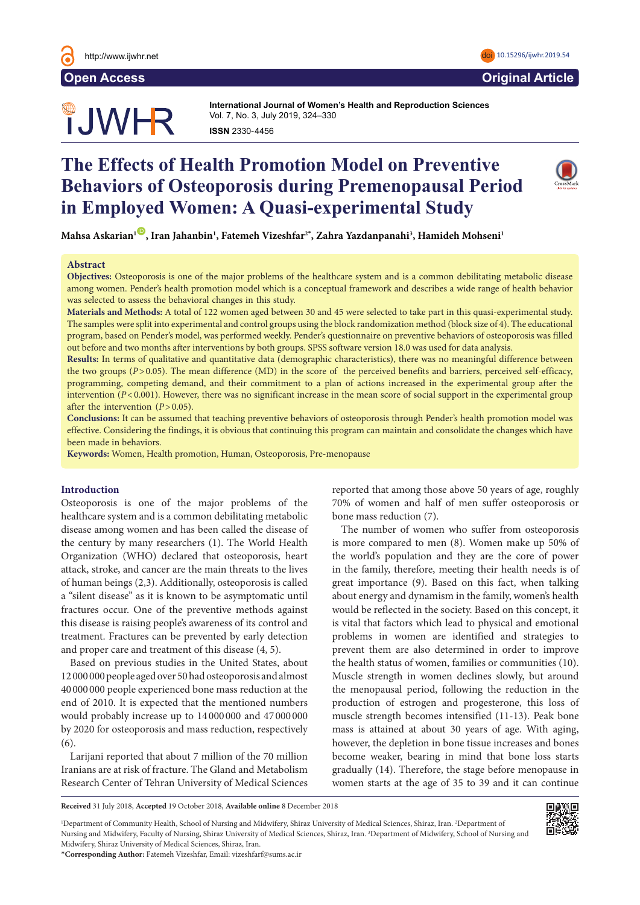

# **JWHR**

**International Journal of Women's Health and Reproduction Sciences**  Vol. 7, No. 3, July 2019, 324–330 **ISSN 2330-4456** 

# **The Effects of Health Promotion Model on Preventive Behaviors of Osteoporosis during Premenopausal Period in Employed Women: A Quasi-experimental Study**



 $\mathbf{M}$ ahsa Askarian<sup>ı (@</sup>), Iran Jahanbin<sup>ı</sup>, Fatemeh Vizeshfar<sup>2\*</sup>, Zahra Yazdanpanahi<sup>3</sup>, Hamideh Mohseni<sup>1</sup>

# **Abstract**

**Objectives:** Osteoporosis is one of the major problems of the healthcare system and is a common debilitating metabolic disease among women. Pender's health promotion model which is a conceptual framework and describes a wide range of health behavior was selected to assess the behavioral changes in this study.

**Materials and Methods:** A total of 122 women aged between 30 and 45 were selected to take part in this quasi-experimental study. The samples were split into experimental and control groups using the block randomization method (block size of 4). The educational program, based on Pender's model, was performed weekly. Pender's questionnaire on preventive behaviors of osteoporosis was filled out before and two months after interventions by both groups. SPSS software version 18.0 was used for data analysis.

**Results:** In terms of qualitative and quantitative data (demographic characteristics), there was no meaningful difference between the two groups (*P*>0.05). The mean difference (MD) in the score of the perceived benefits and barriers, perceived self-efficacy, programming, competing demand, and their commitment to a plan of actions increased in the experimental group after the intervention ( $P < 0.001$ ). However, there was no significant increase in the mean score of social support in the experimental group after the intervention  $(P>0.05)$ .

**Conclusions:** It can be assumed that teaching preventive behaviors of osteoporosis through Pender's health promotion model was effective. Considering the findings, it is obvious that continuing this program can maintain and consolidate the changes which have been made in behaviors.

**Keywords:** Women, Health promotion, Human, Osteoporosis, Pre-menopause

# **Introduction**

Osteoporosis is one of the major problems of the healthcare system and is a common debilitating metabolic disease among women and has been called the disease of the century by many researchers (1). The World Health Organization (WHO) declared that osteoporosis, heart attack, stroke, and cancer are the main threats to the lives of human beings (2,3). Additionally, osteoporosis is called a "silent disease" as it is known to be asymptomatic until fractures occur. One of the preventive methods against this disease is raising people's awareness of its control and treatment. Fractures can be prevented by early detection and proper care and treatment of this disease (4, 5).

Based on previous studies in the United States, about 12 000 000 people aged over 50 had osteoporosis and almost 40 000 000 people experienced bone mass reduction at the end of 2010. It is expected that the mentioned numbers would probably increase up to 14 000 000 and 47 000 000 by 2020 for osteoporosis and mass reduction, respectively (6).

Larijani reported that about 7 million of the 70 million Iranians are at risk of fracture. The Gland and Metabolism Research Center of Tehran University of Medical Sciences reported that among those above 50 years of age, roughly 70% of women and half of men suffer osteoporosis or bone mass reduction (7).

The number of women who suffer from osteoporosis is more compared to men (8). Women make up 50% of the world's population and they are the core of power in the family, therefore, meeting their health needs is of great importance (9). Based on this fact, when talking about energy and dynamism in the family, women's health would be reflected in the society. Based on this concept, it is vital that factors which lead to physical and emotional problems in women are identified and strategies to prevent them are also determined in order to improve the health status of women, families or communities (10). Muscle strength in women declines slowly, but around the menopausal period, following the reduction in the production of estrogen and progesterone, this loss of muscle strength becomes intensified (11-13). Peak bone mass is attained at about 30 years of age. With aging, however, the depletion in bone tissue increases and bones become weaker, bearing in mind that bone loss starts gradually (14). Therefore, the stage before menopause in women starts at the age of 35 to 39 and it can continue

**Received** 31 July 2018, **Accepted** 19 October 2018, **Available online** 8 December 2018

1 Department of Community Health, School of Nursing and Midwifery, Shiraz University of Medical Sciences, Shiraz, Iran. 2 Department of Nursing and Midwifery, Faculty of Nursing, Shiraz University of Medical Sciences, Shiraz, Iran. 3 Department of Midwifery, School of Nursing and Midwifery, Shiraz University of Medical Sciences, Shiraz, Iran.



\***Corresponding Author:** Fatemeh Vizeshfar, Email: vizeshfarf@sums.ac.ir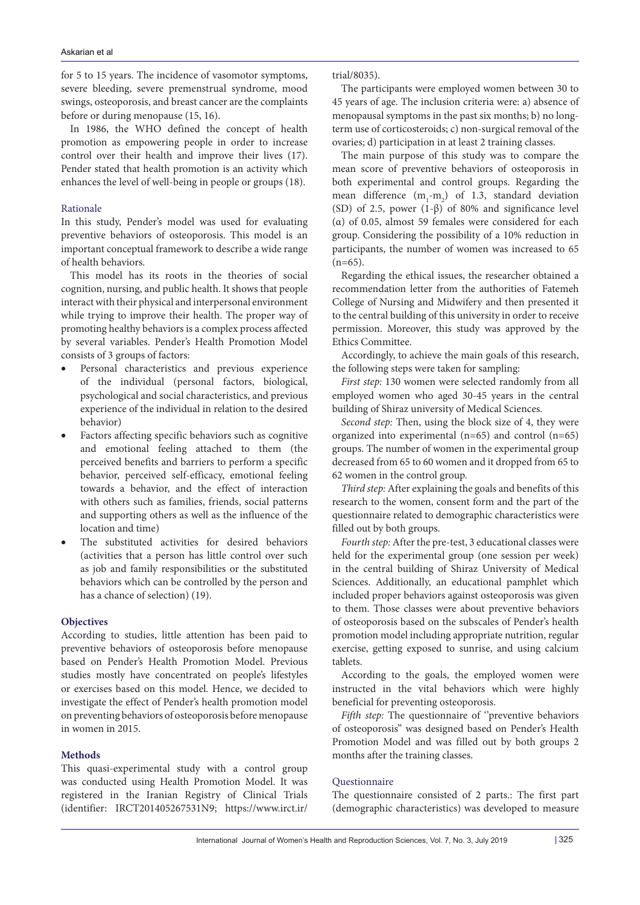for 5 to 15 years. The incidence of vasomotor symptoms, severe bleeding, severe premenstrual syndrome, mood swings, osteoporosis, and breast cancer are the complaints before or during menopause (15, 16).

In 1986, the WHO defined the concept of health promotion as empowering people in order to increase control over their health and improve their lives (17). Pender stated that health promotion is an activity which enhances the level of well-being in people or groups (18).

# Rationale

In this study, Pender's model was used for evaluating preventive behaviors of osteoporosis. This model is an important conceptual framework to describe a wide range of health behaviors.

This model has its roots in the theories of social cognition, nursing, and public health. It shows that people interact with their physical and interpersonal environment while trying to improve their health. The proper way of promoting healthy behaviors is a complex process affected by several variables. Pender's Health Promotion Model consists of 3 groups of factors:

- Personal characteristics and previous experience of the individual (personal factors, biological, psychological and social characteristics, and previous experience of the individual in relation to the desired behavior)
- Factors affecting specific behaviors such as cognitive and emotional feeling attached to them (the perceived benefits and barriers to perform a specific behavior, perceived self-efficacy, emotional feeling towards a behavior, and the effect of interaction with others such as families, friends, social patterns and supporting others as well as the influence of the location and time)
- The substituted activities for desired behaviors (activities that a person has little control over such as job and family responsibilities or the substituted behaviors which can be controlled by the person and has a chance of selection) (19).

# **Objectives**

According to studies, little attention has been paid to preventive behaviors of osteoporosis before menopause based on Pender's Health Promotion Model. Previous studies mostly have concentrated on people's lifestyles or exercises based on this model. Hence, we decided to investigate the effect of Pender's health promotion model on preventing behaviors of osteoporosis before menopause in women in 2015.

# **Methods**

This quasi-experimental study with a control group was conducted using Health Promotion Model. It was registered in the Iranian Registry of Clinical Trials (identifier: IRCT201405267531N9; [https://www.irct.ir/](https://www.irct.ir/trial/8035)

[trial/8035](https://www.irct.ir/trial/8035)).

The participants were employed women between 30 to 45 years of age. The inclusion criteria were: a) absence of menopausal symptoms in the past six months; b) no longterm use of corticosteroids; c) non-surgical removal of the ovaries; d) participation in at least 2 training classes.

The main purpose of this study was to compare the mean score of preventive behaviors of osteoporosis in both experimental and control groups. Regarding the mean difference  $(m_1-m_2)$  of 1.3, standard deviation (SD) of 2.5, power  $(1-β)$  of 80% and significance level (α) of 0.05, almost 59 females were considered for each group. Considering the possibility of a 10% reduction in participants, the number of women was increased to 65  $(n=65)$ .

Regarding the ethical issues, the researcher obtained a recommendation letter from the authorities of Fatemeh College of Nursing and Midwifery and then presented it to the central building of this university in order to receive permission. Moreover, this study was approved by the Ethics Committee.

Accordingly, to achieve the main goals of this research, the following steps were taken for sampling:

*First step:* 130 women were selected randomly from all employed women who aged 30-45 years in the central building of Shiraz university of Medical Sciences.

*Second step:* Then, using the block size of 4, they were organized into experimental (n=65) and control (n=65) groups. The number of women in the experimental group decreased from 65 to 60 women and it dropped from 65 to 62 women in the control group.

*Third step:* After explaining the goals and benefits of this research to the women, consent form and the part of the questionnaire related to demographic characteristics were filled out by both groups.

*Fourth step:* After the pre-test, 3 educational classes were held for the experimental group (one session per week) in the central building of Shiraz University of Medical Sciences. Additionally, an educational pamphlet which included proper behaviors against osteoporosis was given to them. Those classes were about preventive behaviors of osteoporosis based on the subscales of Pender's health promotion model including appropriate nutrition, regular exercise, getting exposed to sunrise, and using calcium tablets.

According to the goals, the employed women were instructed in the vital behaviors which were highly beneficial for preventing osteoporosis.

*Fifth step:* The questionnaire of "preventive behaviors" of osteoporosis" was designed based on Pender's Health Promotion Model and was filled out by both groups 2 months after the training classes.

# Questionnaire

The questionnaire consisted of 2 parts.: The first part (demographic characteristics) was developed to measure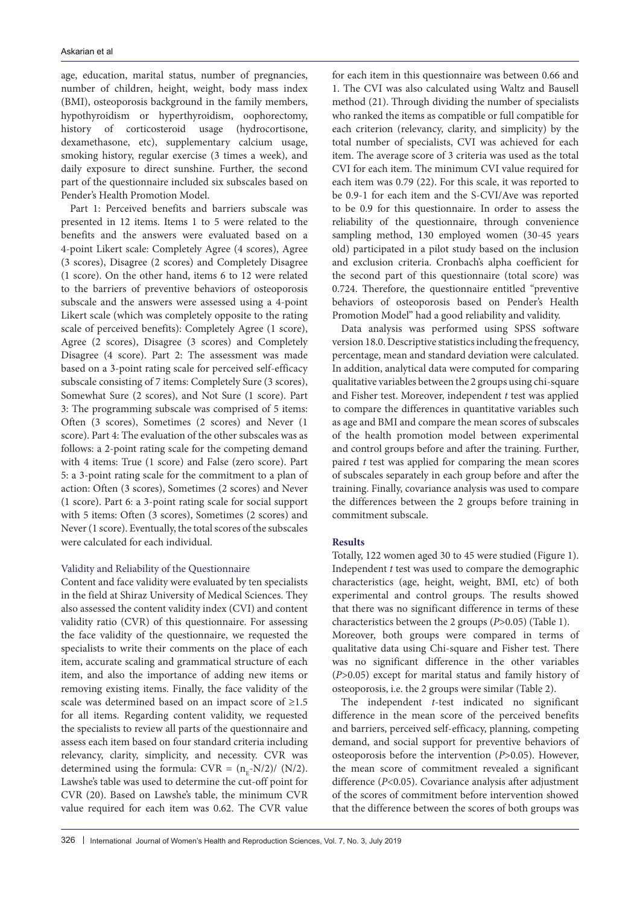age, education, marital status, number of pregnancies, number of children, height, weight, body mass index (BMI), osteoporosis background in the family members, hypothyroidism or hyperthyroidism, oophorectomy, history of corticosteroid usage (hydrocortisone, dexamethasone, etc), supplementary calcium usage, smoking history, regular exercise (3 times a week), and daily exposure to direct sunshine. Further, the second part of the questionnaire included six subscales based on Pender's Health Promotion Model.

Part 1: Perceived benefits and barriers subscale was presented in 12 items. Items 1 to 5 were related to the benefits and the answers were evaluated based on a 4-point Likert scale: Completely Agree (4 scores), Agree (3 scores), Disagree (2 scores) and Completely Disagree (1 score). On the other hand, items 6 to 12 were related to the barriers of preventive behaviors of osteoporosis subscale and the answers were assessed using a 4-point Likert scale (which was completely opposite to the rating scale of perceived benefits): Completely Agree (1 score), Agree (2 scores), Disagree (3 scores) and Completely Disagree (4 score). Part 2: The assessment was made based on a 3-point rating scale for perceived self-efficacy subscale consisting of 7 items: Completely Sure (3 scores), Somewhat Sure (2 scores), and Not Sure (1 score). Part 3: The programming subscale was comprised of 5 items: Often (3 scores), Sometimes (2 scores) and Never (1 score). Part 4: The evaluation of the other subscales was as follows: a 2-point rating scale for the competing demand with 4 items: True (1 score) and False (zero score). Part 5: a 3-point rating scale for the commitment to a plan of action: Often (3 scores), Sometimes (2 scores) and Never (1 score). Part 6: a 3-point rating scale for social support with 5 items: Often (3 scores), Sometimes (2 scores) and Never (1 score). Eventually, the total scores of the subscales were calculated for each individual.

# Validity and Reliability of the Questionnaire

Content and face validity were evaluated by ten specialists in the field at Shiraz University of Medical Sciences. They also assessed the content validity index (CVI) and content validity ratio (CVR) of this questionnaire. For assessing the face validity of the questionnaire, we requested the specialists to write their comments on the place of each item, accurate scaling and grammatical structure of each item, and also the importance of adding new items or removing existing items. Finally, the face validity of the scale was determined based on an impact score of ≥1.5 for all items. Regarding content validity, we requested the specialists to review all parts of the questionnaire and assess each item based on four standard criteria including relevancy, clarity, simplicity, and necessity. CVR was determined using the formula:  $CVR = (n_E-N/2)/(N/2)$ . Lawshe's table was used to determine the cut-off point for CVR (20). Based on Lawshe's table, the minimum CVR value required for each item was 0.62. The CVR value

for each item in this questionnaire was between 0.66 and 1. The CVI was also calculated using Waltz and Bausell method (21). Through dividing the number of specialists who ranked the items as compatible or full compatible for each criterion (relevancy, clarity, and simplicity) by the total number of specialists, CVI was achieved for each item. The average score of 3 criteria was used as the total CVI for each item. The minimum CVI value required for each item was 0.79 (22). For this scale, it was reported to be 0.9-1 for each item and the S-CVI/Ave was reported to be 0.9 for this questionnaire. In order to assess the reliability of the questionnaire, through convenience sampling method, 130 employed women (30-45 years old) participated in a pilot study based on the inclusion and exclusion criteria. Cronbach's alpha coefficient for the second part of this questionnaire (total score) was 0.724. Therefore, the questionnaire entitled "preventive behaviors of osteoporosis based on Pender's Health Promotion Model" had a good reliability and validity.

Data analysis was performed using SPSS software version 18.0. Descriptive statistics including the frequency, percentage, mean and standard deviation were calculated. In addition, analytical data were computed for comparing qualitative variables between the 2 groups using chi-square and Fisher test. Moreover, independent *t* test was applied to compare the differences in quantitative variables such as age and BMI and compare the mean scores of subscales of the health promotion model between experimental and control groups before and after the training. Further, paired *t* test was applied for comparing the mean scores of subscales separately in each group before and after the training. Finally, covariance analysis was used to compare the differences between the 2 groups before training in commitment subscale.

#### **Results**

Totally, 122 women aged 30 to 45 were studied (Figure 1). Independent *t* test was used to compare the demographic characteristics (age, height, weight, BMI, etc) of both experimental and control groups. The results showed that there was no significant difference in terms of these characteristics between the 2 groups (*P*>0.05) (Table 1). Moreover, both groups were compared in terms of qualitative data using Chi-square and Fisher test. There was no significant difference in the other variables (*P*>0.05) except for marital status and family history of

osteoporosis, i.e. the 2 groups were similar (Table 2). The independent *t*-test indicated no significant difference in the mean score of the perceived benefits and barriers, perceived self-efficacy, planning, competing demand, and social support for preventive behaviors of osteoporosis before the intervention (*P*>0.05). However, the mean score of commitment revealed a significant difference (*P*<0.05). Covariance analysis after adjustment of the scores of commitment before intervention showed that the difference between the scores of both groups was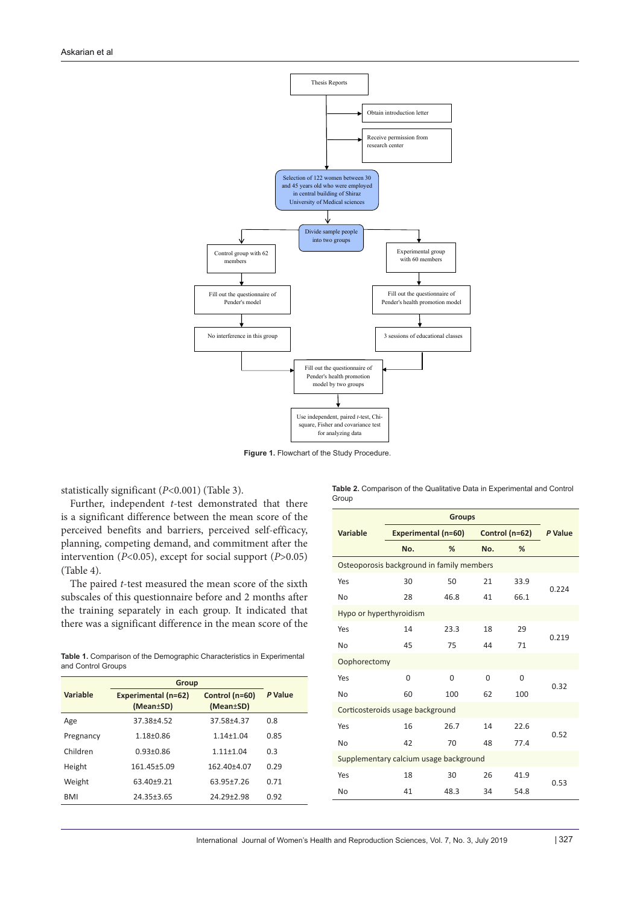

**Figure 1.** Flowchart of the Study Procedure.

statistically significant (*P*<0.001) (Table 3).

Further, independent *t*-test demonstrated that there is a significant difference between the mean score of the perceived benefits and barriers, perceived self-efficacy, planning, competing demand, and commitment after the intervention (*P*<0.05), except for social support (*P*>0.05) (Table 4).

The paired *t*-test measured the mean score of the sixth subscales of this questionnaire before and 2 months after the training separately in each group. It indicated that there was a significant difference in the mean score of the

**Table 1.** Comparison of the Demographic Characteristics in Experimental and Control Groups

|            | Group                            |                                   |         |
|------------|----------------------------------|-----------------------------------|---------|
| Variable   | Experimental (n=62)<br>(Mean±SD) | Control (n=60)<br>$(Mean \pm SD)$ | P Value |
| Age        | 37.38±4.52                       | 37.58±4.37                        | 0.8     |
| Pregnancy  | $1.18 + 0.86$                    | $1.14 + 1.04$                     | 0.85    |
| Children   | $0.93 + 0.86$                    | $1.11 + 1.04$                     | 0.3     |
| Height     | 161.45±5.09                      | 162.40±4.07                       | 0.29    |
| Weight     | 63.40 <sup>+9.21</sup>           | 63.95±7.26                        | 0.71    |
| <b>BMI</b> | 24.35±3.65                       | 24.29±2.98                        | 0.92    |

**Table 2.** Comparison of the Qualitative Data in Experimental and Control Group

| Variable                                  | <b>Experimental (n=60)</b> |      |          | Control (n=62) |       |  |
|-------------------------------------------|----------------------------|------|----------|----------------|-------|--|
|                                           | No.                        | %    | No.      | %              |       |  |
| Osteoporosis background in family members |                            |      |          |                |       |  |
| Yes                                       | 30                         | 50   | 21       | 33.9           | 0.224 |  |
| No                                        | 28                         | 46.8 | 41       | 66.1           |       |  |
| Hypo or hyperthyroidism                   |                            |      |          |                |       |  |
| Yes                                       | 14                         | 23.3 | 18       | 29             | 0.219 |  |
| No                                        | 45                         | 75   | 44       | 71             |       |  |
| Oophorectomy                              |                            |      |          |                |       |  |
| Yes                                       | 0                          | 0    | $\Omega$ | 0              | 0.32  |  |
| No                                        | 60                         | 100  | 62       | 100            |       |  |
| Corticosteroids usage background          |                            |      |          |                |       |  |
| Yes                                       | 16                         | 26.7 | 14       | 22.6           | 0.52  |  |
| No                                        | 42                         | 70   | 48       | 77.4           |       |  |
| Supplementary calcium usage background    |                            |      |          |                |       |  |
| Yes                                       | 18                         | 30   | 26       | 41.9           | 0.53  |  |
| No                                        | 41                         | 48.3 | 34       | 54.8           |       |  |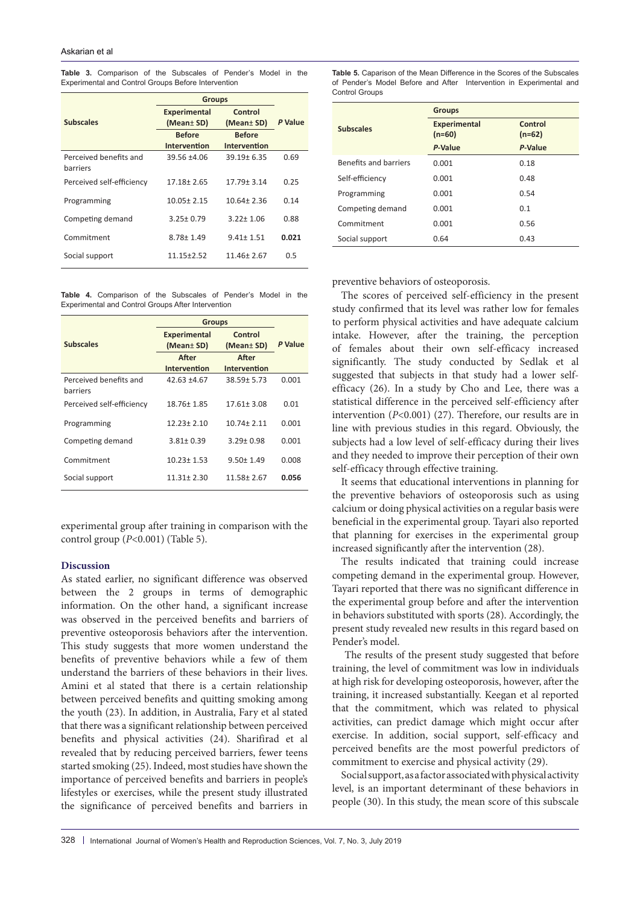|  | <b>Table 3.</b> Comparison of the Subscales of Pender's Model in the |  |  |  |  |
|--|----------------------------------------------------------------------|--|--|--|--|
|  | Experimental and Control Groups Before Intervention                  |  |  |  |  |

| <b>Groups</b>                      |                                    |                       |         |  |
|------------------------------------|------------------------------------|-----------------------|---------|--|
| <b>Subscales</b>                   | <b>Experimental</b><br>(Mean ± SD) | Control<br>(Mean± SD) | P Value |  |
|                                    | <b>Before</b>                      | <b>Before</b>         |         |  |
|                                    | Intervention                       | Intervention          |         |  |
| Perceived benefits and<br>barriers | 39.56 ±4.06                        | $39.19 \pm 6.35$      | 0.69    |  |
| Perceived self-efficiency          | 17.18 ± 2.65                       | 17.79 ± 3.14          | 0.25    |  |
| Programming                        | $10.05 \pm 2.15$                   | $10.64 + 2.36$        | 0.14    |  |
| Competing demand                   | $3.25 \pm 0.79$                    | $3.22 + 1.06$         | 0.88    |  |
| Commitment                         | $8.78 \pm 1.49$                    | $9.41 \pm 1.51$       | 0.021   |  |
| Social support                     | $11.15 \pm 2.52$                   | 11.46 ± 2.67          | 0.5     |  |

**Table 4.** Comparison of the Subscales of Pender's Model in the Experimental and Control Groups After Intervention

|                                    | <b>Groups</b>                     |                       |         |  |
|------------------------------------|-----------------------------------|-----------------------|---------|--|
| <b>Subscales</b>                   | <b>Experimental</b><br>(Mean± SD) | Control<br>(Mean± SD) | P Value |  |
|                                    | After                             | After                 |         |  |
|                                    | Intervention                      | Intervention          |         |  |
| Perceived benefits and<br>barriers | $42.63 + 4.67$                    | $38.59 \pm 5.73$      | 0.001   |  |
| Perceived self-efficiency          | 18.76±1.85                        | $17.61 \pm 3.08$      | 0.01    |  |
| Programming                        | $12.23 + 2.10$                    | $10.74 + 2.11$        | 0.001   |  |
| Competing demand                   | $3.81 \pm 0.39$                   | $3.29 \pm 0.98$       | 0.001   |  |
| Commitment                         | $10.23 \pm 1.53$                  | $9.50 \pm 1.49$       | 0.008   |  |
| Social support                     | 11.31± 2.30                       | $11.58 \pm 2.67$      | 0.056   |  |

experimental group after training in comparison with the control group (*P*<0.001) (Table 5).

#### **Discussion**

As stated earlier, no significant difference was observed between the 2 groups in terms of demographic information. On the other hand, a significant increase was observed in the perceived benefits and barriers of preventive osteoporosis behaviors after the intervention. This study suggests that more women understand the benefits of preventive behaviors while a few of them understand the barriers of these behaviors in their lives. Amini et al stated that there is a certain relationship between perceived benefits and quitting smoking among the youth (23). In addition, in Australia, Fary et al stated that there was a significant relationship between perceived benefits and physical activities (24). Sharifirad et al revealed that by reducing perceived barriers, fewer teens started smoking (25). Indeed, most studies have shown the importance of perceived benefits and barriers in people's lifestyles or exercises, while the present study illustrated the significance of perceived benefits and barriers in

**Table 5.** Caparison of the Mean Difference in the Scores of the Subscales of Pender's Model Before and After Intervention in Experimental and Control Groups

|                              | <b>Groups</b>                   |                     |  |  |  |
|------------------------------|---------------------------------|---------------------|--|--|--|
| <b>Subscales</b>             | <b>Experimental</b><br>$(n=60)$ | Control<br>$(n=62)$ |  |  |  |
|                              | P-Value                         | P-Value             |  |  |  |
| <b>Benefits and barriers</b> | 0.001                           | 0.18                |  |  |  |
| Self-efficiency              | 0.001                           | 0.48                |  |  |  |
| Programming                  | 0.001                           | 0.54                |  |  |  |
| Competing demand             | 0.001                           | 0.1                 |  |  |  |
| Commitment                   | 0.001                           | 0.56                |  |  |  |
| Social support               | 0.64                            | 0.43                |  |  |  |

preventive behaviors of osteoporosis.

The scores of perceived self-efficiency in the present study confirmed that its level was rather low for females to perform physical activities and have adequate calcium intake. However, after the training, the perception of females about their own self-efficacy increased significantly. The study conducted by Sedlak et al suggested that subjects in that study had a lower selfefficacy (26). In a study by Cho and Lee, there was a statistical difference in the perceived self-efficiency after intervention (*P*<0.001) (27). Therefore, our results are in line with previous studies in this regard. Obviously, the subjects had a low level of self-efficacy during their lives and they needed to improve their perception of their own self-efficacy through effective training.

It seems that educational interventions in planning for the preventive behaviors of osteoporosis such as using calcium or doing physical activities on a regular basis were beneficial in the experimental group. Tayari also reported that planning for exercises in the experimental group increased significantly after the intervention (28).

The results indicated that training could increase competing demand in the experimental group. However, Tayari reported that there was no significant difference in the experimental group before and after the intervention in behaviors substituted with sports (28). Accordingly, the present study revealed new results in this regard based on Pender's model.

 The results of the present study suggested that before training, the level of commitment was low in individuals at high risk for developing osteoporosis, however, after the training, it increased substantially. Keegan et al reported that the commitment, which was related to physical activities, can predict damage which might occur after exercise. In addition, social support, self-efficacy and perceived benefits are the most powerful predictors of commitment to exercise and physical activity (29).

Social support, as a factor associated with physical activity level, is an important determinant of these behaviors in people (30). In this study, the mean score of this subscale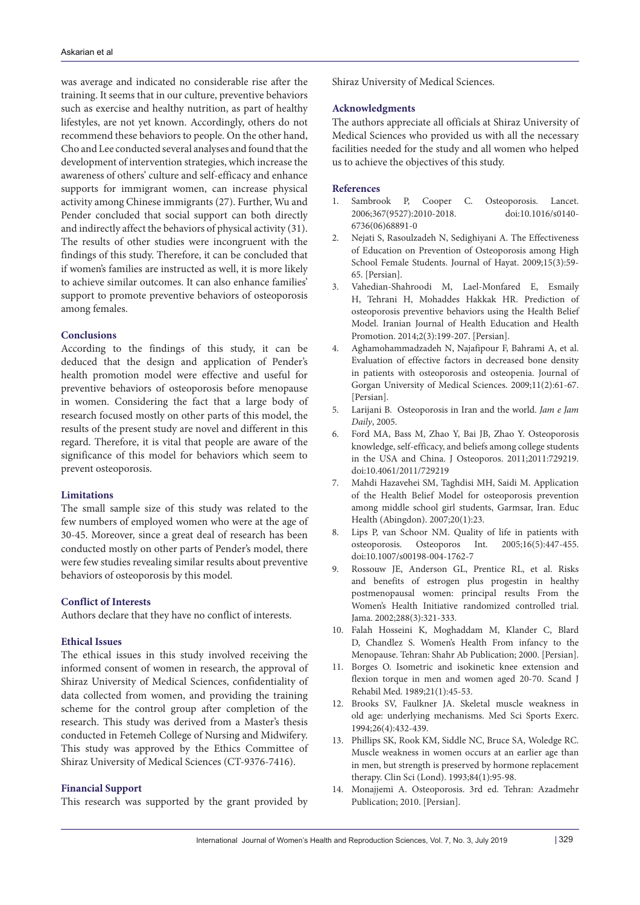was average and indicated no considerable rise after the training. It seems that in our culture, preventive behaviors such as exercise and healthy nutrition, as part of healthy lifestyles, are not yet known. Accordingly, others do not recommend these behaviors to people. On the other hand, Cho and Lee conducted several analyses and found that the development of intervention strategies, which increase the awareness of others' culture and self-efficacy and enhance supports for immigrant women, can increase physical activity among Chinese immigrants (27). Further, Wu and Pender concluded that social support can both directly and indirectly affect the behaviors of physical activity (31). The results of other studies were incongruent with the findings of this study. Therefore, it can be concluded that if women's families are instructed as well, it is more likely to achieve similar outcomes. It can also enhance families' support to promote preventive behaviors of osteoporosis among females.

#### **Conclusions**

According to the findings of this study, it can be deduced that the design and application of Pender's health promotion model were effective and useful for preventive behaviors of osteoporosis before menopause in women. Considering the fact that a large body of research focused mostly on other parts of this model, the results of the present study are novel and different in this regard. Therefore, it is vital that people are aware of the significance of this model for behaviors which seem to prevent osteoporosis.

#### **Limitations**

The small sample size of this study was related to the few numbers of employed women who were at the age of 30-45. Moreover, since a great deal of research has been conducted mostly on other parts of Pender's model, there were few studies revealing similar results about preventive behaviors of osteoporosis by this model.

### **Conflict of Interests**

Authors declare that they have no conflict of interests.

# **Ethical Issues**

The ethical issues in this study involved receiving the informed consent of women in research, the approval of Shiraz University of Medical Sciences, confidentiality of data collected from women, and providing the training scheme for the control group after completion of the research. This study was derived from a Master's thesis conducted in Fetemeh College of Nursing and Midwifery. This study was approved by the Ethics Committee of Shiraz University of Medical Sciences (CT-9376-7416).

#### **Financial Support**

This research was supported by the grant provided by

Shiraz University of Medical Sciences.

#### **Acknowledgments**

The authors appreciate all officials at Shiraz University of Medical Sciences who provided us with all the necessary facilities needed for the study and all women who helped us to achieve the objectives of this study.

#### **References**

- 1. Sambrook P, Cooper C. Osteoporosis. Lancet. 2006;367(9527):2010-2018. doi:10.1016/s0140- 6736(06)68891-0
- 2. Nejati S, Rasoulzadeh N, Sedighiyani A. The Effectiveness of Education on Prevention of Osteoporosis among High School Female Students. Journal of Hayat. 2009;15(3):59- 65. [Persian].
- 3. Vahedian-Shahroodi M, Lael-Monfared E, Esmaily H, Tehrani H, Mohaddes Hakkak HR. Prediction of osteoporosis preventive behaviors using the Health Belief Model. Iranian Journal of Health Education and Health Promotion. 2014;2(3):199-207. [Persian].
- 4. Aghamohammadzadeh N, Najafipour F, Bahrami A, et al. Evaluation of effective factors in decreased bone density in patients with osteoporosis and osteopenia. Journal of Gorgan University of Medical Sciences. 2009;11(2):61-67. [Persian].
- 5. Larijani B. Osteoporosis in Iran and the world. *Jam e Jam Daily*, 2005.
- 6. Ford MA, Bass M, Zhao Y, Bai JB, Zhao Y. Osteoporosis knowledge, self-efficacy, and beliefs among college students in the USA and China. J Osteoporos. 2011;2011:729219. doi:10.4061/2011/729219
- 7. Mahdi Hazavehei SM, Taghdisi MH, Saidi M. Application of the Health Belief Model for osteoporosis prevention among middle school girl students, Garmsar, Iran. Educ Health (Abingdon). 2007;20(1):23.
- 8. Lips P, van Schoor NM. Quality of life in patients with osteoporosis. Osteoporos Int. 2005;16(5):447-455. doi:10.1007/s00198-004-1762-7
- 9. Rossouw JE, Anderson GL, Prentice RL, et al. Risks and benefits of estrogen plus progestin in healthy postmenopausal women: principal results From the Women's Health Initiative randomized controlled trial. Jama. 2002;288(3):321-333.
- 10. Falah Hosseini K, Moghaddam M, Klander C, Blard D, Chandlez S. Women's Health From infancy to the Menopause. Tehran: Shahr Ab Publication; 2000. [Persian].
- 11. Borges O. Isometric and isokinetic knee extension and flexion torque in men and women aged 20-70. Scand J Rehabil Med. 1989;21(1):45-53.
- 12. Brooks SV, Faulkner JA. Skeletal muscle weakness in old age: underlying mechanisms. Med Sci Sports Exerc. 1994;26(4):432-439.
- 13. Phillips SK, Rook KM, Siddle NC, Bruce SA, Woledge RC. Muscle weakness in women occurs at an earlier age than in men, but strength is preserved by hormone replacement therapy. Clin Sci (Lond). 1993;84(1):95-98.
- 14. Monajjemi A. Osteoporosis. 3rd ed. Tehran: Azadmehr Publication; 2010. [Persian].